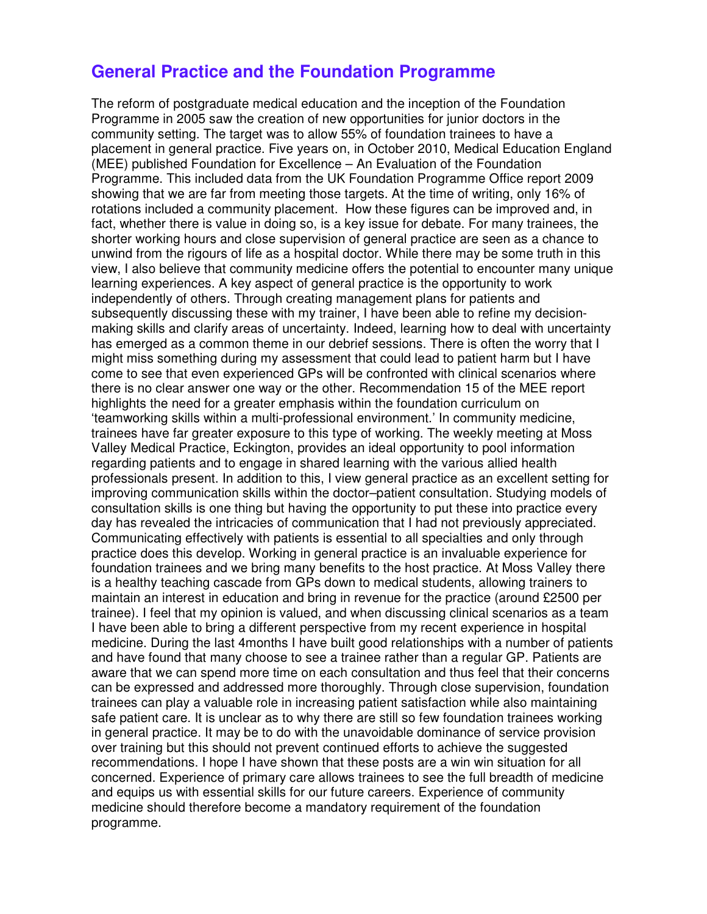## **General Practice and the Foundation Programme**

The reform of postgraduate medical education and the inception of the Foundation Programme in 2005 saw the creation of new opportunities for junior doctors in the community setting. The target was to allow 55% of foundation trainees to have a placement in general practice. Five years on, in October 2010, Medical Education England (MEE) published Foundation for Excellence – An Evaluation of the Foundation Programme. This included data from the UK Foundation Programme Office report 2009 showing that we are far from meeting those targets. At the time of writing, only 16% of rotations included a community placement. How these figures can be improved and, in fact, whether there is value in doing so, is a key issue for debate. For many trainees, the shorter working hours and close supervision of general practice are seen as a chance to unwind from the rigours of life as a hospital doctor. While there may be some truth in this view, I also believe that community medicine offers the potential to encounter many unique learning experiences. A key aspect of general practice is the opportunity to work independently of others. Through creating management plans for patients and subsequently discussing these with my trainer, I have been able to refine my decisionmaking skills and clarify areas of uncertainty. Indeed, learning how to deal with uncertainty has emerged as a common theme in our debrief sessions. There is often the worry that I might miss something during my assessment that could lead to patient harm but I have come to see that even experienced GPs will be confronted with clinical scenarios where there is no clear answer one way or the other. Recommendation 15 of the MEE report highlights the need for a greater emphasis within the foundation curriculum on 'teamworking skills within a multi-professional environment.' In community medicine, trainees have far greater exposure to this type of working. The weekly meeting at Moss Valley Medical Practice, Eckington, provides an ideal opportunity to pool information regarding patients and to engage in shared learning with the various allied health professionals present. In addition to this, I view general practice as an excellent setting for improving communication skills within the doctor–patient consultation. Studying models of consultation skills is one thing but having the opportunity to put these into practice every day has revealed the intricacies of communication that I had not previously appreciated. Communicating effectively with patients is essential to all specialties and only through practice does this develop. Working in general practice is an invaluable experience for foundation trainees and we bring many benefits to the host practice. At Moss Valley there is a healthy teaching cascade from GPs down to medical students, allowing trainers to maintain an interest in education and bring in revenue for the practice (around £2500 per trainee). I feel that my opinion is valued, and when discussing clinical scenarios as a team I have been able to bring a different perspective from my recent experience in hospital medicine. During the last 4months I have built good relationships with a number of patients and have found that many choose to see a trainee rather than a regular GP. Patients are aware that we can spend more time on each consultation and thus feel that their concerns can be expressed and addressed more thoroughly. Through close supervision, foundation trainees can play a valuable role in increasing patient satisfaction while also maintaining safe patient care. It is unclear as to why there are still so few foundation trainees working in general practice. It may be to do with the unavoidable dominance of service provision over training but this should not prevent continued efforts to achieve the suggested recommendations. I hope I have shown that these posts are a win win situation for all concerned. Experience of primary care allows trainees to see the full breadth of medicine and equips us with essential skills for our future careers. Experience of community medicine should therefore become a mandatory requirement of the foundation programme.